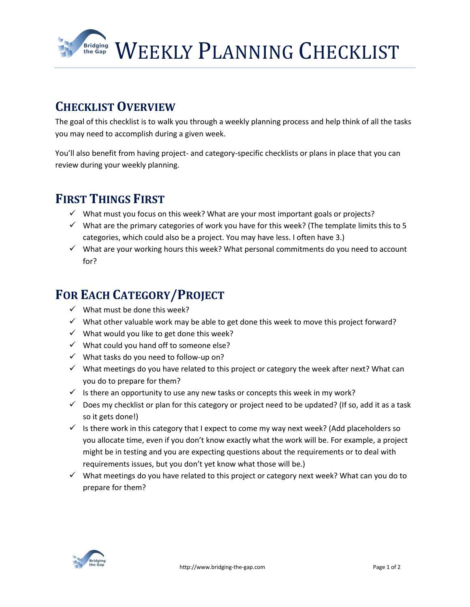WEEKLY PLANNING CHECKLIST

## **CHECKLIST OVERVIEW**

**Bridging**<br>the Gap

The goal of this checklist is to walk you through a weekly planning process and help think of all the tasks you may need to accomplish during a given week.

You'll also benefit from having project- and category-specific checklists or plans in place that you can review during your weekly planning.

#### **FIRST THINGS FIRST**

- $\checkmark$  What must you focus on this week? What are your most important goals or projects?
- $\checkmark$  What are the primary categories of work you have for this week? (The template limits this to 5 categories, which could also be a project. You may have less. I often have 3.)
- $\checkmark$  What are your working hours this week? What personal commitments do you need to account for?

# **FOR EACH CATEGORY/PROJECT**

- $\checkmark$  What must be done this week?
- $\checkmark$  What other valuable work may be able to get done this week to move this project forward?
- $\checkmark$  What would you like to get done this week?
- $\checkmark$  What could you hand off to someone else?
- $\checkmark$  What tasks do you need to follow-up on?
- $\checkmark$  What meetings do you have related to this project or category the week after next? What can you do to prepare for them?
- $\checkmark$  Is there an opportunity to use any new tasks or concepts this week in my work?
- $\checkmark$  Does my checklist or plan for this category or project need to be updated? (If so, add it as a task so it gets done!)
- $\checkmark$  Is there work in this category that I expect to come my way next week? (Add placeholders so you allocate time, even if you don't know exactly what the work will be. For example, a project might be in testing and you are expecting questions about the requirements or to deal with requirements issues, but you don't yet know what those will be.)
- $\checkmark$  What meetings do you have related to this project or category next week? What can you do to prepare for them?